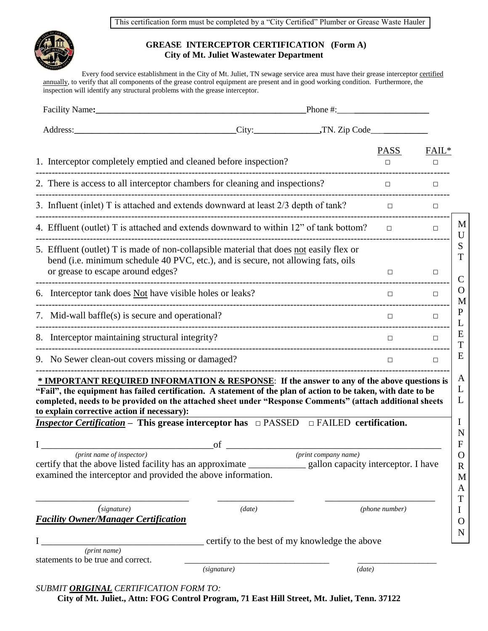This certification form must be completed by a "City Certified" Plumber or Grease Waste Hauler



## **GREASE INTERCEPTOR CERTIFICATION (Form A) City of Mt. Juliet Wastewater Department**

Every food service establishment in the City of Mt. Juliet, TN sewage service area must have their grease interceptor certified annually, to verify that all components of the grease control equipment are present and in good working condition. Furthermore, the inspection will identify any structural problems with the grease interceptor.

| Facility Name:                                                                                                                                                                                                    | Phone $\#$ :                                                                                                                                                                                                                                                                                                                                                                                                                                                                                               |                       |                        |
|-------------------------------------------------------------------------------------------------------------------------------------------------------------------------------------------------------------------|------------------------------------------------------------------------------------------------------------------------------------------------------------------------------------------------------------------------------------------------------------------------------------------------------------------------------------------------------------------------------------------------------------------------------------------------------------------------------------------------------------|-----------------------|------------------------|
| Address:                                                                                                                                                                                                          |                                                                                                                                                                                                                                                                                                                                                                                                                                                                                                            |                       |                        |
| 1. Interceptor completely emptied and cleaned before inspection?                                                                                                                                                  |                                                                                                                                                                                                                                                                                                                                                                                                                                                                                                            | <b>PASS</b><br>$\Box$ | FAIL <sup>*</sup><br>□ |
| 2. There is access to all interceptor chambers for cleaning and inspections?                                                                                                                                      |                                                                                                                                                                                                                                                                                                                                                                                                                                                                                                            | $\Box$                | $\Box$                 |
|                                                                                                                                                                                                                   | 3. Influent (inlet) T is attached and extends downward at least 2/3 depth of tank?                                                                                                                                                                                                                                                                                                                                                                                                                         | $\Box$                | $\Box$                 |
|                                                                                                                                                                                                                   | 4. Effluent (outlet) T is attached and extends downward to within 12" of tank bottom?                                                                                                                                                                                                                                                                                                                                                                                                                      | $\Box$                | $\Box$                 |
| 5. Effluent (outlet) T is made of non-collapsible material that does not easily flex or<br>bend (i.e. minimum schedule 40 PVC, etc.), and is secure, not allowing fats, oils<br>or grease to escape around edges? |                                                                                                                                                                                                                                                                                                                                                                                                                                                                                                            | П                     | $\Box$                 |
| 6. Interceptor tank does Not have visible holes or leaks?                                                                                                                                                         |                                                                                                                                                                                                                                                                                                                                                                                                                                                                                                            | $\Box$                | $\Box$                 |
| 7. Mid-wall baffle(s) is secure and operational?                                                                                                                                                                  |                                                                                                                                                                                                                                                                                                                                                                                                                                                                                                            | П.                    | $\Box$                 |
| 8. Interceptor maintaining structural integrity?                                                                                                                                                                  |                                                                                                                                                                                                                                                                                                                                                                                                                                                                                                            | П                     | $\Box$                 |
| 9. No Sewer clean-out covers missing or damaged?                                                                                                                                                                  |                                                                                                                                                                                                                                                                                                                                                                                                                                                                                                            | $\Box$                | $\Box$                 |
| to explain corrective action if necessary):<br>(print name of inspector)<br>certify that the above listed facility has an approximate<br>examined the interceptor and provided the above information.             | * IMPORTANT REQUIRED INFORMATION & RESPONSE: If the answer to any of the above questions is<br>"Fail", the equipment has failed certification. A statement of the plan of action to be taken, with date to be<br>completed, needs to be provided on the attached sheet under "Response Comments" (attach additional sheets<br><i>Inspector Certification</i> – This grease interceptor has $\Box$ PASSED $\Box$ FAILED certification.<br>of<br>(print company name)<br>gallon capacity interceptor. I have |                       |                        |
| (signature)<br><b>Facility Owner/Manager Certification</b>                                                                                                                                                        | (data)<br>certify to the best of my knowledge the above                                                                                                                                                                                                                                                                                                                                                                                                                                                    | (phone number)        |                        |
| (print name)<br>statements to be true and correct.                                                                                                                                                                | (signature)                                                                                                                                                                                                                                                                                                                                                                                                                                                                                                | (data)                |                        |
| SUBMIT ORIGINAL CERTIFICATION FORM TO:                                                                                                                                                                            |                                                                                                                                                                                                                                                                                                                                                                                                                                                                                                            |                       |                        |

**City of Mt. Juliet., Attn: FOG Control Program, 71 East Hill Street, Mt. Juliet, Tenn. 37122**